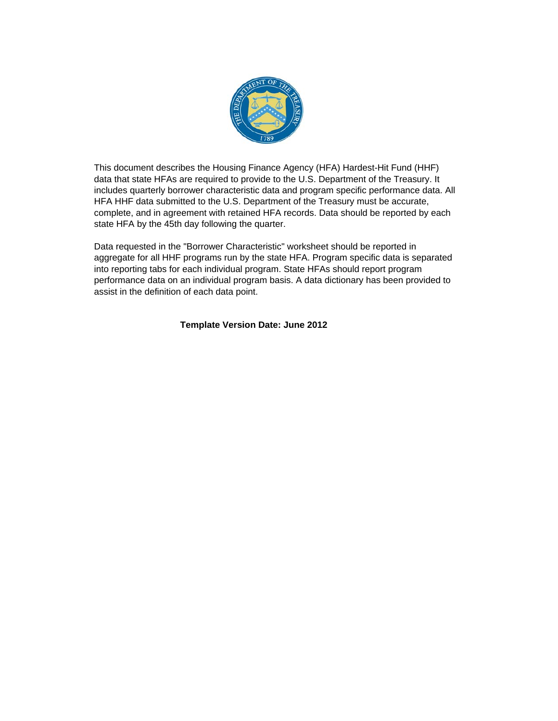

This document describes the Housing Finance Agency (HFA) Hardest-Hit Fund (HHF) data that state HFAs are required to provide to the U.S. Department of the Treasury. It includes quarterly borrower characteristic data and program specific performance data. All HFA HHF data submitted to the U.S. Department of the Treasury must be accurate, complete, and in agreement with retained HFA records. Data should be reported by each state HFA by the 45th day following the quarter.

Data requested in the "Borrower Characteristic" worksheet should be reported in aggregate for all HHF programs run by the state HFA. Program specific data is separated into reporting tabs for each individual program. State HFAs should report program performance data on an individual program basis. A data dictionary has been provided to assist in the definition of each data point.

## **Template Version Date: June 2012**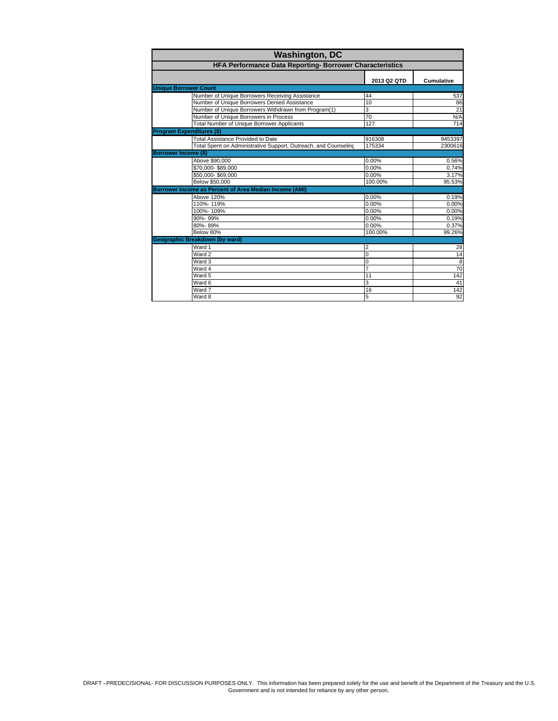| <b>Washington, DC</b>                                           |                |                   |  |  |
|-----------------------------------------------------------------|----------------|-------------------|--|--|
| HFA Performance Data Reporting- Borrower Characteristics        |                |                   |  |  |
|                                                                 | 2013 Q2 QTD    | <b>Cumulative</b> |  |  |
| <b>Unique Borrower Count</b>                                    |                |                   |  |  |
| Number of Unique Borrowers Receiving Assistance                 | 44             | 537               |  |  |
| Number of Unique Borrowers Denied Assistance                    | 10             | 86                |  |  |
| Number of Unique Borrowers Withdrawn from Program(1)            | 3              | 21                |  |  |
| Number of Unique Borrowers in Process                           | 70             | N/A               |  |  |
| <b>Total Number of Unique Borrower Applicants</b>               | 127            | 714               |  |  |
| <b>Program Expenditures (\$)</b>                                |                |                   |  |  |
| <b>Total Assistance Provided to Date</b>                        | 916308         | 9453397           |  |  |
| Total Spent on Administrative Support, Outreach, and Counseling | 175334         | 2300616           |  |  |
| <b>Borrower Income (\$)</b>                                     |                |                   |  |  |
| Above \$90,000                                                  | 0.00%          | 0.56%             |  |  |
| \$70,000-\$89,000                                               | 0.00%          | 0.74%             |  |  |
| \$50,000-\$69,000                                               | 0.00%          | 3.17%             |  |  |
| Below \$50,000                                                  | 100.00%        | 95.53%            |  |  |
| Borrower Income as Percent of Area Median Income (AMI)          |                |                   |  |  |
| Above 120%                                                      | 0.00%          | 0.19%             |  |  |
| 110%-119%                                                       | 0.00%          | 0.00%             |  |  |
| 100%-109%                                                       | 0.00%          | 0.00%             |  |  |
| 90%-99%                                                         | 0.00%          | 0.19%             |  |  |
| 80%-89%                                                         | 0.00%          | 0.37%             |  |  |
| Below 80%                                                       | 100.00%        | 99.26%            |  |  |
| Geographic Breakdown (by ward)                                  |                |                   |  |  |
| Ward 1                                                          | $\overline{2}$ | 28                |  |  |
| Ward 2                                                          | $\overline{0}$ | 14                |  |  |
| Ward 3                                                          | $\Omega$       | $\overline{8}$    |  |  |
| Ward 4                                                          | $\overline{7}$ | 70                |  |  |
| Ward 5                                                          | 11             | 142               |  |  |
| Ward 6                                                          | 3              | 41                |  |  |
| Ward 7                                                          | 16             | 142               |  |  |
| Ward 8                                                          | 5              | 92                |  |  |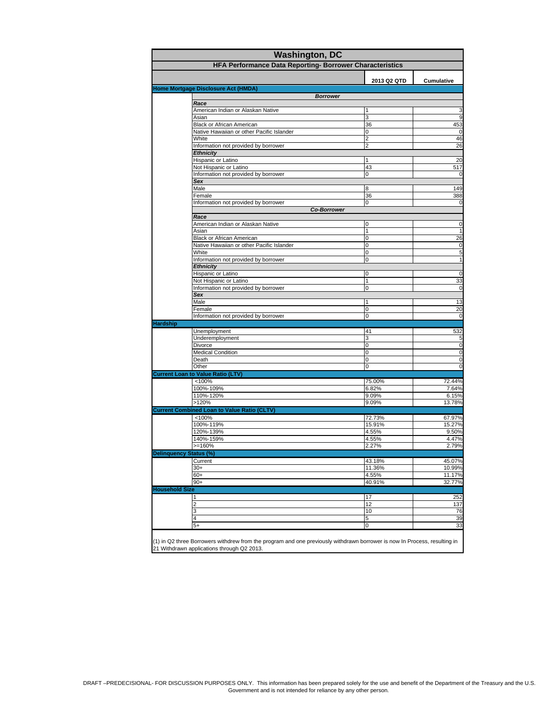| <b>Washington, DC</b><br>HFA Performance Data Reporting- Borrower Characteristics |                                                                        |                |                    |  |
|-----------------------------------------------------------------------------------|------------------------------------------------------------------------|----------------|--------------------|--|
|                                                                                   |                                                                        |                |                    |  |
|                                                                                   | Home Mortgage Disclosure Act (HMDA)                                    | 2013 Q2 QTD    | Cumulative         |  |
|                                                                                   | <b>Borrower</b>                                                        |                |                    |  |
|                                                                                   | Race                                                                   |                |                    |  |
|                                                                                   | American Indian or Alaskan Native                                      |                | 3                  |  |
|                                                                                   | Asian                                                                  | 3              | 9                  |  |
|                                                                                   | Black or African American<br>Native Hawaiian or other Pacific Islander | 36<br>0        | 453<br>$\mathbf 0$ |  |
|                                                                                   | White                                                                  | 2              | 46                 |  |
|                                                                                   | Information not provided by borrower                                   | $\overline{2}$ | 26                 |  |
|                                                                                   | <b>Ethnicity</b>                                                       |                |                    |  |
|                                                                                   | Hispanic or Latino                                                     | 1              | 20                 |  |
|                                                                                   | Not Hispanic or Latino                                                 | 43             | 517                |  |
|                                                                                   | Information not provided by borrower                                   | 0              | $\mathbf 0$        |  |
|                                                                                   | Sex<br>Male                                                            | 8              | 149                |  |
|                                                                                   | Female                                                                 | 36             | 388                |  |
|                                                                                   | Information not provided by borrower                                   | 0              | $\mathbf 0$        |  |
|                                                                                   | <b>Co-Borrower</b>                                                     |                |                    |  |
|                                                                                   | Race                                                                   |                |                    |  |
|                                                                                   | American Indian or Alaskan Native                                      | 0              | $\mathbf 0$        |  |
|                                                                                   | Asian                                                                  | 1              | $\mathbf{1}$       |  |
|                                                                                   | Black or African American                                              | 0              | 26                 |  |
|                                                                                   | Native Hawaiian or other Pacific Islander                              | 0<br>0         | $\pmb{0}$          |  |
|                                                                                   | White<br>Information not provided by borrower                          | 0              | 5<br>$\mathbf{1}$  |  |
|                                                                                   | <b>Ethnicity</b>                                                       |                |                    |  |
|                                                                                   | Hispanic or Latino                                                     | 0              | 0                  |  |
|                                                                                   | Not Hispanic or Latino                                                 | 1              | 33                 |  |
|                                                                                   | Information not provided by borrower                                   | 0              | $\mathbf 0$        |  |
|                                                                                   | Sex                                                                    |                |                    |  |
|                                                                                   | Male                                                                   | 1              | 13                 |  |
|                                                                                   | Female                                                                 | 0              | 20                 |  |
|                                                                                   | Information not provided by borrower                                   | 0              | $\mathbf 0$        |  |
| <b>Hardship</b>                                                                   | Unemployment                                                           | 41             | 532                |  |
|                                                                                   | Underemployment                                                        | 3              | 5                  |  |
|                                                                                   | Divorce                                                                | 0              | $\mathbf 0$        |  |
|                                                                                   | <b>Medical Condition</b>                                               | 0              | $\mathbf 0$        |  |
|                                                                                   | Death                                                                  | 0              | $\mathbf 0$        |  |
|                                                                                   | Other                                                                  | 0              | $\mathbf 0$        |  |
|                                                                                   | <b>Current Loan to Value Ratio (LTV)</b>                               |                |                    |  |
|                                                                                   | < 100%                                                                 | 75.00%         | 72.44%             |  |
|                                                                                   | 100%-109%                                                              | 6.82%          | 7.64%              |  |
|                                                                                   | 110%-120%<br>>120%                                                     | 9.09%<br>9.09% | 6.15%<br>13.78%    |  |
|                                                                                   | <b>Current Combined Loan to Value Ratio (CLTV)</b>                     |                |                    |  |
|                                                                                   | < 100%                                                                 | 72.73%         | 67.97%             |  |
|                                                                                   | 100%-119%                                                              | 15.91%         | 15.27%             |  |
|                                                                                   | 120%-139%                                                              | 4.55%          | 9.50%              |  |
|                                                                                   | 140%-159%                                                              | 4.55%          | 4.47%              |  |
|                                                                                   | >=160%                                                                 | 2.27%          | 2.79%              |  |
| <b>Delinquency Status (%)</b>                                                     |                                                                        |                |                    |  |
|                                                                                   | Current                                                                | 43.18%         | 45.07%             |  |
|                                                                                   | $30+$                                                                  | 11.36%         | 10.99%             |  |
|                                                                                   | $60+$                                                                  | 4.55%          | 11.17%             |  |
| <b>Household Size</b>                                                             | $90+$                                                                  | 40.91%         | 32.77%             |  |
|                                                                                   | 1                                                                      | 17             | 252                |  |
|                                                                                   | $\overline{2}$                                                         | 12             | 137                |  |
|                                                                                   | 3                                                                      | 10             | 76                 |  |
|                                                                                   | 4                                                                      | 5              | 39                 |  |
|                                                                                   | $5+$                                                                   | 0              | 33                 |  |
|                                                                                   |                                                                        |                |                    |  |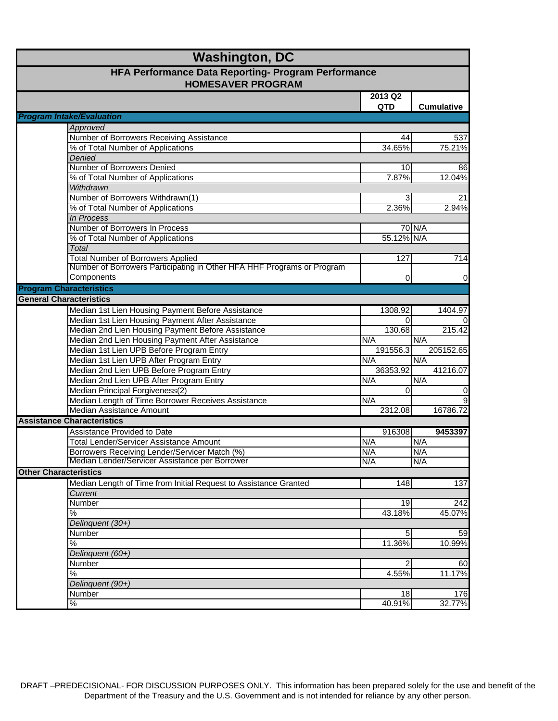| <b>Washington, DC</b>                                                           |                                                                        |            |                   |  |
|---------------------------------------------------------------------------------|------------------------------------------------------------------------|------------|-------------------|--|
| HFA Performance Data Reporting- Program Performance<br><b>HOMESAVER PROGRAM</b> |                                                                        |            |                   |  |
|                                                                                 |                                                                        | 2013 Q2    |                   |  |
|                                                                                 |                                                                        | <b>QTD</b> | <b>Cumulative</b> |  |
|                                                                                 | <b>Program Intake/Evaluation</b>                                       |            |                   |  |
|                                                                                 | Approved                                                               |            |                   |  |
|                                                                                 | Number of Borrowers Receiving Assistance                               | 44         | 537               |  |
|                                                                                 | % of Total Number of Applications                                      | 34.65%     | 75.21%            |  |
|                                                                                 | Denied                                                                 |            |                   |  |
|                                                                                 | Number of Borrowers Denied                                             | 10         | 86                |  |
|                                                                                 | % of Total Number of Applications                                      | 7.87%      | 12.04%            |  |
|                                                                                 | Withdrawn                                                              |            |                   |  |
|                                                                                 | Number of Borrowers Withdrawn(1)                                       | 3          | 21                |  |
|                                                                                 | % of Total Number of Applications                                      | 2.36%      | 2.94%             |  |
|                                                                                 | <b>In Process</b>                                                      |            |                   |  |
|                                                                                 | Number of Borrowers In Process                                         |            | 70 N/A            |  |
|                                                                                 | % of Total Number of Applications                                      | 55.12% N/A |                   |  |
|                                                                                 | Total                                                                  |            |                   |  |
|                                                                                 | <b>Total Number of Borrowers Applied</b>                               | 127        | 714               |  |
|                                                                                 | Number of Borrowers Participating in Other HFA HHF Programs or Program |            |                   |  |
|                                                                                 | Components                                                             | 0          | 0                 |  |
| <b>Program Characteristics</b>                                                  |                                                                        |            |                   |  |
| <b>General Characteristics</b>                                                  |                                                                        |            |                   |  |
|                                                                                 | Median 1st Lien Housing Payment Before Assistance                      | 1308.92    | 1404.97           |  |
|                                                                                 | Median 1st Lien Housing Payment After Assistance                       | $\Omega$   | $\overline{0}$    |  |
|                                                                                 | Median 2nd Lien Housing Payment Before Assistance                      | 130.68     | 215.42            |  |
|                                                                                 | Median 2nd Lien Housing Payment After Assistance                       | N/A        | N/A               |  |
|                                                                                 | Median 1st Lien UPB Before Program Entry                               | 191556.3   | 205152.65         |  |
|                                                                                 | Median 1st Lien UPB After Program Entry                                | N/A        | N/A               |  |
|                                                                                 | Median 2nd Lien UPB Before Program Entry                               | 36353.92   | 41216.07          |  |
|                                                                                 | Median 2nd Lien UPB After Program Entry                                | N/A        | N/A               |  |
|                                                                                 | Median Principal Forgiveness(2)                                        | $\Omega$   | $\pmb{0}$         |  |
|                                                                                 | Median Length of Time Borrower Receives Assistance                     | N/A        | 9                 |  |
|                                                                                 | Median Assistance Amount                                               | 2312.08    | 16786.72          |  |
|                                                                                 | <b>Assistance Characteristics</b>                                      |            |                   |  |
|                                                                                 | Assistance Provided to Date                                            | 916308     | 9453397           |  |
|                                                                                 | <b>Total Lender/Servicer Assistance Amount</b>                         | N/A        | N/A               |  |
|                                                                                 | Borrowers Receiving Lender/Servicer Match (%)                          | N/A        | N/A               |  |
|                                                                                 | Median Lender/Servicer Assistance per Borrower                         | N/A        | N/A               |  |
| <b>Other Characteristics</b>                                                    |                                                                        |            |                   |  |
|                                                                                 | Median Length of Time from Initial Request to Assistance Granted       | 148        | 137               |  |
|                                                                                 | Current                                                                |            |                   |  |
|                                                                                 | Number                                                                 | 19         | 242               |  |
|                                                                                 | $\%$                                                                   | 43.18%     | 45.07%            |  |
|                                                                                 | Delinquent (30+)                                                       |            |                   |  |
|                                                                                 | Number                                                                 | 5          | 59                |  |
|                                                                                 | $\%$                                                                   | 11.36%     | 10.99%            |  |
|                                                                                 | Delinquent (60+)                                                       |            |                   |  |
|                                                                                 | Number                                                                 | 2          | 60                |  |
|                                                                                 | $\%$                                                                   | 4.55%      | 11.17%            |  |
|                                                                                 | Delinquent (90+)                                                       |            |                   |  |
|                                                                                 | Number                                                                 | 18         | 176               |  |
|                                                                                 | ℅                                                                      | 40.91%     | 32.77%            |  |